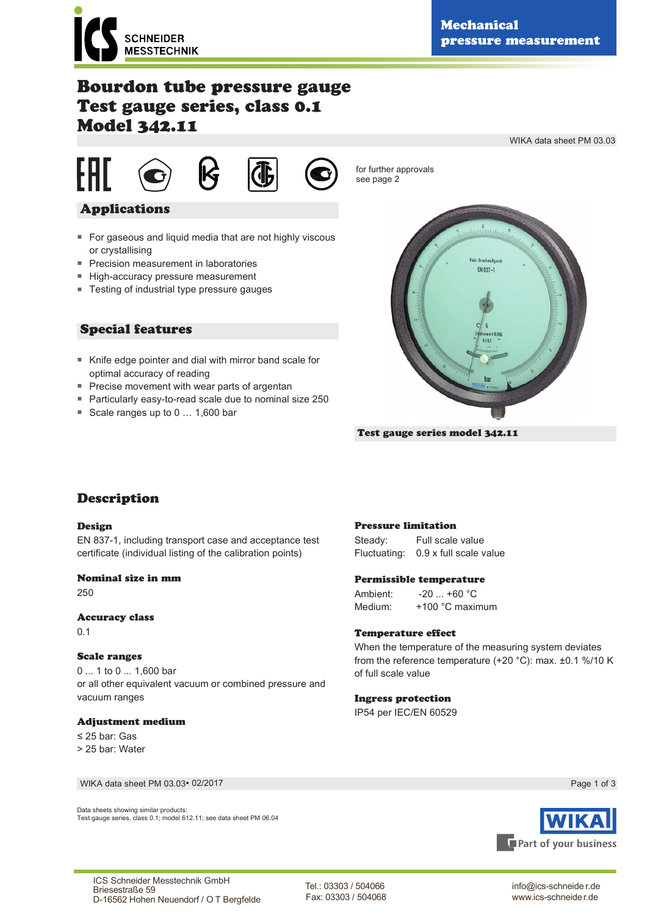

WIKA data sheet PM 03.03

# Bourdon tube pressure gauge Test gauge series, class 0.1 Model 342.11



for further approvals see page 2

# Applications

- For gaseous and liquid media that are not highly viscous or crystallising
- Precision measurement in laboratories
- High-accuracy pressure measurement
- Testing of industrial type pressure gauges

# Special features

- Knife edge pointer and dial with mirror band scale for optimal accuracy of reading
- Precise movement with wear parts of argentan
- Particularly easy-to-read scale due to nominal size 250
- Scale ranges up to 0 ... 1,600 bar



Test gauge series model 342.11

# Description

#### Design

EN 837-1, including transport case and acceptance test certificate (individual listing of the calibration points)

#### Nominal size in mm

250

#### Accuracy class

0.1

### Scale ranges

0 ... 1 to 0 ... 1,600 bar or all other equivalent vacuum or combined pressure and vacuum ranges

### Adjustment medium

≤ 25 bar: Gas > 25 bar: Water

WIKA data sheet PM 03.03∙ 02/2017

Data sheets showing similar products: Test gauge series, class 0.1; model 612.11; see data sheet PM 06.04

#### Pressure limitation

Steady: Full scale value Fluctuating: 0.9 x full scale value

#### Permissible temperature

Ambient: -20 ... +60 °C Medium: +100 °C maximum

#### Temperature effect

When the temperature of the measuring system deviates from the reference temperature (+20 °C): max. ±0.1 %/10 K of full scale value

### Ingress protection

IP54 per IEC/EN 60529



info@ics-schneide r.de www.ics-schneider.de

Page 1 of 3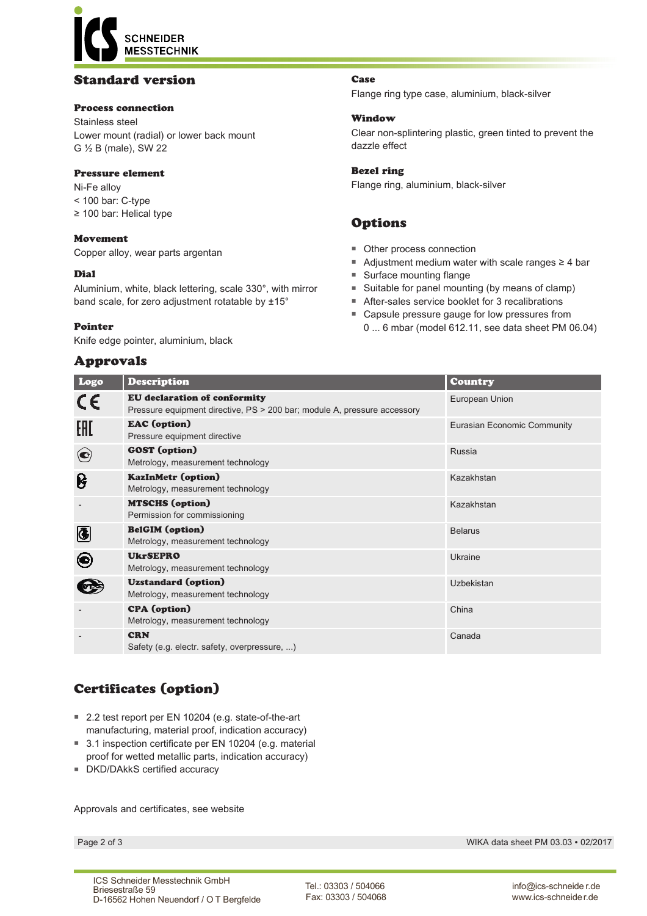**CHNEIDER MESSTECHNIK** 

# Standard version

### Process connection

Stainless steel Lower mount (radial) or lower back mount G ½ B (male), SW 22

#### Pressure element

Ni-Fe alloy < 100 bar: C-type ≥ 100 bar: Helical type

### Movement

Copper alloy, wear parts argentan

### Dial

Aluminium, white, black lettering, scale 330°, with mirror band scale, for zero adjustment rotatable by ±15°

#### Pointer

Knife edge pointer, aluminium, black

## Approvals

Case

Flange ring type case, aluminium, black-silver

#### Window

Clear non-splintering plastic, green tinted to prevent the dazzle effect

#### Bezel ring

Flange ring, aluminium, black-silver

# Options

- Other process connection
- Adjustment medium water with scale ranges ≥ 4 bar
- Surface mounting flange
- Suitable for panel mounting (by means of clamp)
- After-sales service booklet for 3 recalibrations
- Capsule pressure gauge for low pressures from 0 ... 6 mbar (model 612.11, see data sheet PM 06.04)

| Logo                     | <b>Description</b>                                                                                              | Country                            |
|--------------------------|-----------------------------------------------------------------------------------------------------------------|------------------------------------|
| CE                       | <b>EU</b> declaration of conformity<br>Pressure equipment directive, PS > 200 bar; module A, pressure accessory | European Union                     |
| EAC                      | <b>EAC</b> (option)<br>Pressure equipment directive                                                             | <b>Eurasian Economic Community</b> |
| $\left( \bullet \right)$ | <b>GOST</b> (option)<br>Metrology, measurement technology                                                       | Russia                             |
| ၆                        | <b>KazInMetr (option)</b><br>Metrology, measurement technology                                                  | Kazakhstan                         |
|                          | <b>MTSCHS</b> (option)<br>Permission for commissioning                                                          | Kazakhstan                         |
|                          | <b>BelGIM</b> (option)<br>Metrology, measurement technology                                                     | <b>Belarus</b>                     |
| O)                       | <b>UkrSEPRO</b><br>Metrology, measurement technology                                                            | Ukraine                            |
|                          | <b>Uzstandard</b> (option)<br>Metrology, measurement technology                                                 | Uzbekistan                         |
|                          | <b>CPA</b> (option)<br>Metrology, measurement technology                                                        | China                              |
|                          | <b>CRN</b><br>Safety (e.g. electr. safety, overpressure, )                                                      | Canada                             |

# Certificates (option)

- 2.2 test report per EN 10204 (e.g. state-of-the-art manufacturing, material proof, indication accuracy)
- 3.1 inspection certificate per EN 10204 (e.g. material proof for wetted metallic parts, indication accuracy)
- DKD/DAkkS certified accuracy

Approvals and certificates, see website

Page 2 of 3 WIKA data sheet PM 03.03 ∙ 02/2017